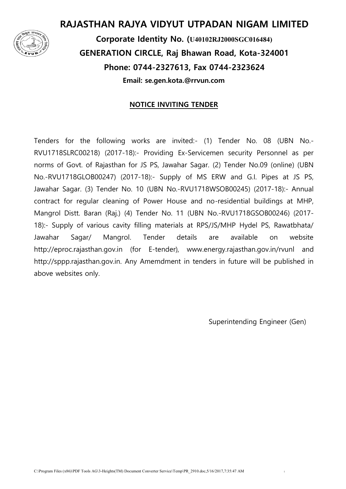

#### **RAJASTHAN RAJYA VIDYUT UTPADAN NIGAM LIMITED**

**Corporate Identity No. (U40102RJ2000SGC016484) GENERATION CIRCLE, Raj Bhawan Road, Kota-324001 Phone: 0744-2327613, Fax 0744-2323624 Email: se.gen.kota.@rrvun.com** 

#### **NOTICE INVITING TENDER**

Tenders for the following works are invited:- (1) Tender No. 08 (UBN No.- RVU1718SLRC00218) (2017-18):- Providing Ex-Servicemen security Personnel as per norms of Govt. of Rajasthan for JS PS, Jawahar Sagar. (2) Tender No.09 (online) (UBN No.-RVU1718GLOB00247) (2017-18):- Supply of MS ERW and G.I. Pipes at JS PS, Jawahar Sagar. (3) Tender No. 10 (UBN No.-RVU1718WSOB00245) (2017-18):- Annual contract for regular cleaning of Power House and no-residential buildings at MHP, Mangrol Distt. Baran (Raj.) (4) Tender No. 11 (UBN No.-RVU1718GSOB00246) (2017- 18):- Supply of various cavity filling materials at RPS/JS/MHP Hydel PS, Rawatbhata/ Jawahar Sagar/ Mangrol. Tender details are available on website http://eproc.rajasthan.gov.in (for E-tender), www.energy.rajasthan.gov.in/rvunl and http://sppp.rajasthan.gov.in. Any Amemdment in tenders in future will be published in above websites only.

Superintending Engineer (Gen)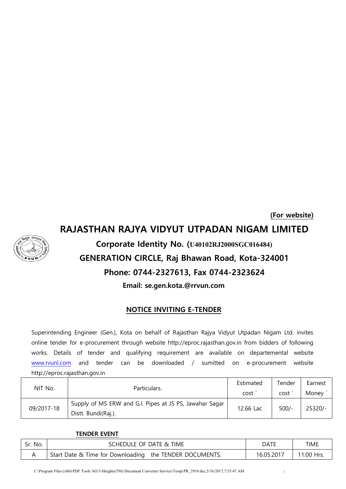# **(For website) RAJASTHAN RAJYA VIDYUT UTPADAN NIGAM LIMITED Corporate Identity No. (U40102RJ2000SGC016484) GENERATION CIRCLE, Raj Bhawan Road, Kota-324001 Phone: 0744-2327613, Fax 0744-2323624 Email: se.gen.kota.@rrvun.com**

#### **NOTICE INVITING E-TENDER**

Superintending Engineer (Gen.), Kota on behalf of Rajasthan Rajya Vidyut Utpadan Nigam Ltd. invites online tender for e-procurement through website http://eproc.rajasthan.gov.in from bidders of following works. Details of tender and qualifying requirement are available on departemental website [www.rvunl.com](http://www.rvunl.com/) and tender can be downloaded / sumitted on e-procurement website http://eproc.rajasthan.gov.in

|            |                                                                                | Estimated | Tender  | Earnest |
|------------|--------------------------------------------------------------------------------|-----------|---------|---------|
| NIT No.    | Particulars.                                                                   | cost      | cost    | Money   |
| 09/2017-18 | Supply of MS ERW and G.I. Pipes at JS PS, Jawahar Sagar<br>Distt. Bundi(Raj.). | 12.66 Lac | $500/-$ | 25320/- |

#### **TENDER EVENT**

| Sr. No. | SCHEDULE OF DATE & TIME                                 | DATE       | time       |
|---------|---------------------------------------------------------|------------|------------|
|         | Start Date & Time for Downloading the TENDER DOCUMENTS. | 16.05.2017 | 11.00 Hrs. |

C:\Program Files (x86)\PDF Tools AG\3-Heights(TM) Document Converter Service\Temp\PR\_2910.doc,5/16/2017,7:35:47 AM <sup>2</sup>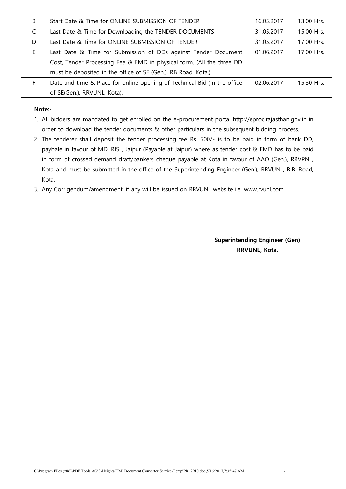| B  | Start Date & Time for ONLINE SUBMISSION OF TENDER                        | 16.05.2017 | 13.00 Hrs. |
|----|--------------------------------------------------------------------------|------------|------------|
| C  | Last Date & Time for Downloading the TENDER DOCUMENTS                    | 31.05.2017 | 15.00 Hrs. |
| D  | Last Date & Time for ONLINE SUBMISSION OF TENDER                         | 31.05.2017 | 17.00 Hrs. |
| E. | Last Date & Time for Submission of DDs against Tender Document           | 01.06.2017 | 17.00 Hrs. |
|    | Cost, Tender Processing Fee & EMD in physical form. (All the three DD    |            |            |
|    | must be deposited in the office of SE (Gen.), RB Road, Kota.)            |            |            |
| F  | Date and time & Place for online opening of Technical Bid (In the office | 02.06.2017 | 15.30 Hrs. |
|    | of SE(Gen.), RRVUNL, Kota).                                              |            |            |

#### **Note:-**

- 1. All bidders are mandated to get enrolled on the e-procurement portal http://eproc.rajasthan.gov.in in order to download the tender documents & other particulars in the subsequent bidding process.
- 2. The tenderer shall deposit the tender processing fee Rs. 500/- is to be paid in form of bank DD, paybale in favour of MD, RISL, Jaipur (Payable at Jaipur) where as tender cost & EMD has to be paid in form of crossed demand draft/bankers cheque payable at Kota in favour of AAO (Gen.), RRVPNL, Kota and must be submitted in the office of the Superintending Engineer (Gen.), RRVUNL, R.B. Road, Kota.
- 3. Any Corrigendum/amendment, if any will be issued on RRVUNL website i.e. www.rvunl.com

**Superintending Engineer (Gen) RRVUNL, Kota.**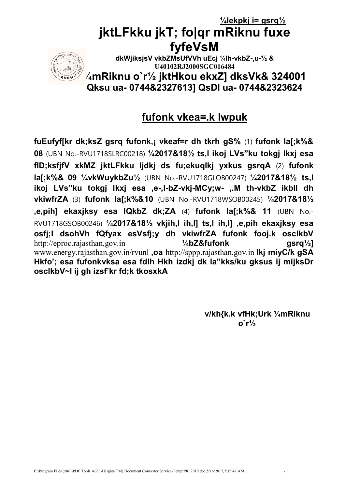# **¼lekpkj i= gsrq½ jktLFkku jkT; fo|qr mRiknu fuxe fyfeVsM**



**dkWjiksjsV vkbZMsUfVVh uEcj ¼lh-vkbZ-,u-½ & U40102RJ2000SGC016484**

**¼mRiknu o`r½ jktHkou ekxZ] dksVk& 324001 Qksu ua- 0744&2327613] QsDl ua- 0744&2323624**

## **fufonk vkea=.k lwpuk**

**fuEufyf[kr dk;ksZ gsrq fufonk,¡ vkeaf=r dh tkrh gS%** (1) **fufonk la[;k%& 08** (UBN No.-RVU1718SLRC00218) **¼2017&18½ ts,l ikoj LVs"ku tokgj lkxj esa flD;ksfjfV xkMZ jktLFkku ljdkj ds fu;ekuqlkj yxkus gsrqA** (2) **fufonk la[;k%& 09 ¼vkWuykbZu½** (UBN No.-RVU1718GLOB00247) **¼2017&18½ ts,l ikoj LVs"ku tokgj lkxj esa ,e-,l-bZ-vkj-MCy;w- ,.M th-vkbZ ikbIl dh vkiwfrZA** (3) **fufonk la[;k%&10** (UBN No.-RVU1718WSOB00245) **¼2017&18½ ,e,pih] ekaxjksy esa lQkbZ dk;ZA** (4) **fufonk la[;k%& 11** (UBN No.- RVU1718GSOB00246) **¼2017&18½ vkjih,l ih,l] ts,l ih,l] ,e,pih ekaxjksy esa osfj;l dsohVh fQfyax esVsfj;y dh vkiwfrZA fufonk fooj.k osclkbV** http://eproc.rajasthan.gov.in **¼bZ&fufonk gsrq½]** www.energy.rajasthan.gov.in/rvunl **,oa** http://sppp.rajasthan.gov.in **Ikj miyC/k gSA Hkfo'; esa fufonkvksa esa fdlh Hkh izdkj dk la"kks/ku gksus ij mijksDr osclkbV~l ij gh izsf'kr fd;k tkosxkA** 

> **v/kh{k.k vfHk;Urk ¼mRiknu o`r½**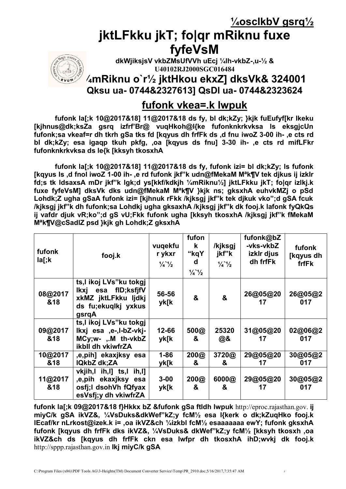**¼osclkbV gsrq½**

# **jktLFkku jkT; fo|qr mRiknu fuxe fyfeVsM**



**dkWjiksjsV vkbZMsUfVVh uEcj ¼lh-vkbZ-,u-½ & U40102RJ2000SGC016484**

### **¼mRiknu o`r½ jktHkou ekxZ] dksVk& 324001 Qksu ua- 0744&2327613] QsDl ua- 0744&2323624**

## **fufonk vkea=.k lwpuk**

**fufonk la[;k 10@2017&18] 11@2017&18 ds fy, bl dk;kZy; }kjk fuEufyf[kr lkeku [kjhnus@dk;ksZa gsrq izfrf'Br@ vuqHkoh@l{ke fufonknkrkvksa ls eksgjcUn fufonk;sa vkeaf=r dh tkrh gSa tks fd [kqyus dh frfFk ds ,d fnu iwoZ 3-00 ih- ,e cts rd bl dk;kZy; esa igaqp tkuh pkfg, ,oa [kqyus ds fnu] 3-30 ih- ,e cts rd mifLFkr fufonknkrkvksa ds le{k [kksyh tkosxhA**

**fufonk la[;k 10@2017&18] 11@2017&18 ds fy, fufonk izi= bl dk;kZy; ls fufonk [kqyus ls ,d fnol iwoZ 1-00 ih- ,e rd fufonk jkf"k udn@fMekaM Mªk¶V tek djkus ij izkIr fd;s tk ldsaxsA mDr jkf"k lgk;d ys[kkf/kdkjh ¼mRiknu½] jktLFkku jkT; fo|qr izlkj.k fuxe fyfeVsM] dksVk dks udn@fMekaM Mªk¶V }kjk ns; gksxhA euhvkMZj o pSd Lohdk;Z ugha gSaA fufonk izi= [kjhnuk rFkk /kjksgj jkf"k tek djkuk vko";d gSA fcuk /kjksgj jkf"k dh fufonk;sa Lohdkj ugha gksaxhA /kjksgj jkf"k dk fooj.k lafonk fyQkQs ij vafdr djuk vR;ko";d gS vU;Fkk fufonk ugha [kksyh tkosxhA /kjksgj jkf"k fMekaM Mªk¶V@cSadlZ psd }kjk gh Lohdk;Z gksxhA**

| fufonk<br>la[;k] | fooj.k                                                                                               | vuqekfu<br>r ykxr<br>$\frac{1}{4}$ $\frac{1}{2}$ | fufon<br>k<br>"kqY<br>d<br>$\frac{1}{4}$ $\frac{1}{2}$ | /kjksgj<br>jkf"k<br>$\frac{1}{4}$ $\frac{1}{2}$ | fufonk@bZ<br>-vks-vkbZ<br>izklr djus<br>dh frfFk | fufonk<br>[kqyus dh<br>frfFk |
|------------------|------------------------------------------------------------------------------------------------------|--------------------------------------------------|--------------------------------------------------------|-------------------------------------------------|--------------------------------------------------|------------------------------|
| 08@2017<br>&18   | ts,I ikoj LVs"ku tokgj<br>Ikxj esa fID;ksfjfV<br>xkMZ jktLFkku ljdkj<br>ds fu;ekuqlkj yxkus<br>gsrqA | 56-56<br>yk[k                                    | &                                                      | &                                               | 26@05@20<br>17                                   | 26@05@2<br>017               |
| 09@2017<br>&18   | ts,I ikoj LVs"ku tokgj<br>lkxj esa ,e-,l-bZ-vkj-<br>MCy;w- ,.M th-vkbZ<br>ikbll dh vkiwfrZA          | 12-66<br>yk[k                                    | 500@<br>&                                              | 25320<br>@&                                     | 31@05@20<br>17                                   | 02@06@2<br>017               |
| 10@2017<br>&18   | e,pih] ekaxjksy esa,<br>IQkbZ dk;ZA                                                                  | $1 - 86$<br>yk[k                                 | 200@<br>&                                              | 3720@<br>&                                      | 29@05@20<br>17                                   | 30@05@2<br>017               |
| 11@2017<br>&18   | vkjih,l ih,l] ts,l ih,l]<br>,e,pih ekaxjksy esa<br>osfj;l dsohVh fQfyax<br>esVsfj;y dh vkiwfrZA      | $3 - 00$<br>yk[k                                 | 200@<br>&                                              | 6000@<br>&                                      | 29@05@20<br>17                                   | 30@05@2<br>017               |

**fufonk la[;k 09@2017&18 f}Hkkx bZ &fufonk gSa ftldh lwpuk** [http://eproc.rajasthan.gov.](http://eproc.rajasthan.gov/) **ij miyC/k gSA ikVZ&, ¼VsDuks&dkWef"kZ;y fcM½ esa l{kerk o dk;kZuqHko fooj.k lEcaf/kr nLrkost@izek.k i= ,oa ikVZ&ch ¼izkbl fcM½ esaaaaaaa ewY; fufonk gksxhA fufonk [kqyus dh frfFk dks ikVZ&, ¼VsDuks& dkWef"kZ;y fcM½ [kksyh tkosxh ,oa ikVZ&ch ds [kqyus dh frfFk ckn esa lwfpr dh tkosxhA ihD;wvkj dk fooj.k**  http://sppp.rajasthan.gov.in **Ikj miyC/k gSA**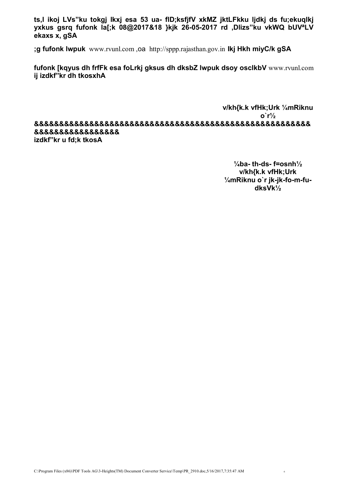**ts,l ikoj LVs"ku tokgj lkxj esa 53 ua- flD;ksfjfV xkMZ jktLFkku ljdkj ds fu;ekuqlkj yxkus gsrq fufonk la[;k 08@2017&18 }kjk 26-05-2017 rd ,Dlizs"ku vkWQ bUVªLV ekaxs x, gSA** 

**;g fufonk lwpuk** www.rvunl.com ,oa http://sppp.rajasthan.gov.in **Ikj Hkh miyC/k gSA**

**fufonk [kqyus dh frfFk esa foLrkj gksus dh dksbZ lwpuk dsoy osclkbV** www.rvunl.com **ij izdkf"kr dh tkosxhA** 

**v/kh{k.k vfHk;Urk ¼mRiknu o`r½ &&&&&&&&&&&&&&&&&&&&&&&&&&&&&&&&&&&&&&&&&&&&&&&&&&&&&&& &&&&&&&&&&&&&&&&& izdkf"kr u fd;k tkosA**

> **¼ba- th-ds- f=osnh½ v/kh{k.k vfHk;Urk ¼mRiknu o`r jk-jk-fo-m-fudksVk½**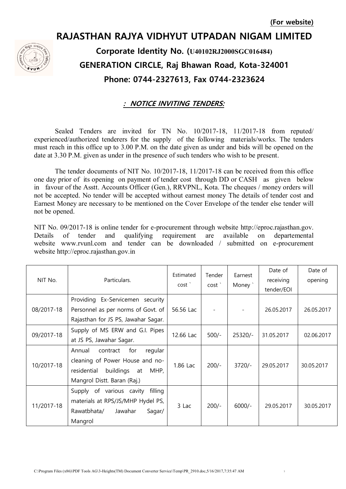# **RAJASTHAN RAJYA VIDHYUT UTPADAN NIGAM LIMITED Corporate Identity No. (U40102RJ2000SGC016484) GENERATION CIRCLE, Raj Bhawan Road, Kota-324001 Phone: 0744-2327613, Fax 0744-2323624**

#### **: NOTICE INVITING TENDERS:**

Sealed Tenders are invited for TN No. 10/2017-18, 11/2017-18 from reputed/ experienced/authorized tenderers for the supply of the following materials/works. The tenders must reach in this office up to 3.00 P.M. on the date given as under and bids will be opened on the date at 3.30 P.M. given as under in the presence of such tenders who wish to be present.

The tender documents of NIT No. 10/2017-18, 11/2017-18 can be received from this office one day prior of its opening on payment of tender cost through DD or CASH as given below in favour of the Asstt. Accounts Officer (Gen.), RRVPNL, Kota. The cheques / money orders will not be accepted. No tender will be accepted without earnest money The details of tender cost and Earnest Money are necessary to be mentioned on the Cover Envelope of the tender else tender will not be opened.

NIT No. 09/2017-18 is online tender for e-procurement through website [http://eproc.rajasthan.gov.](http://eproc.rajasthan.gov/) Details of tender and qualifying requirement are available on departemental website www.rvunl.com and tender can be downloaded / submitted on e-procurement website http://eproc.rajasthan.gov.in

| NIT No.    | Particulars.                                                                                                                                     | Estimated<br>cost <sup>'</sup> | Tender<br>cost' | Earnest<br>Money ` | Date of<br>receiving<br>tender/EOI | Date of<br>opening |
|------------|--------------------------------------------------------------------------------------------------------------------------------------------------|--------------------------------|-----------------|--------------------|------------------------------------|--------------------|
| 08/2017-18 | Providing Ex-Servicemen security<br>Personnel as per norms of Govt. of<br>Rajasthan for JS PS, Jawahar Sagar.                                    | 56.56 Lac                      |                 |                    | 26.05.2017                         | 26.05.2017         |
| 09/2017-18 | Supply of MS ERW and G.I. Pipes<br>at JS PS, Jawahar Sagar.                                                                                      | 12.66 Lac                      | $500/-$         | 25320/-            | 31.05.2017                         | 02.06.2017         |
| 10/2017-18 | Annual<br>for<br>regular<br>contract<br>cleaning of Power House and no-<br>buildings<br>residential<br>MHP,<br>at<br>Mangrol Distt. Baran (Raj.) | 1.86 Lac                       | $200/-$         | $3720/-$           | 29.05.2017                         | 30.05.2017         |
| 11/2017-18 | filling<br>Supply of various cavity<br>materials at RPS/JS/MHP Hydel PS,<br>Rawatbhata/<br>Jawahar<br>Sagar/<br>Mangrol                          | 3 Lac                          | $200/-$         | $6000/-$           | 29.05.2017                         | 30.05.2017         |